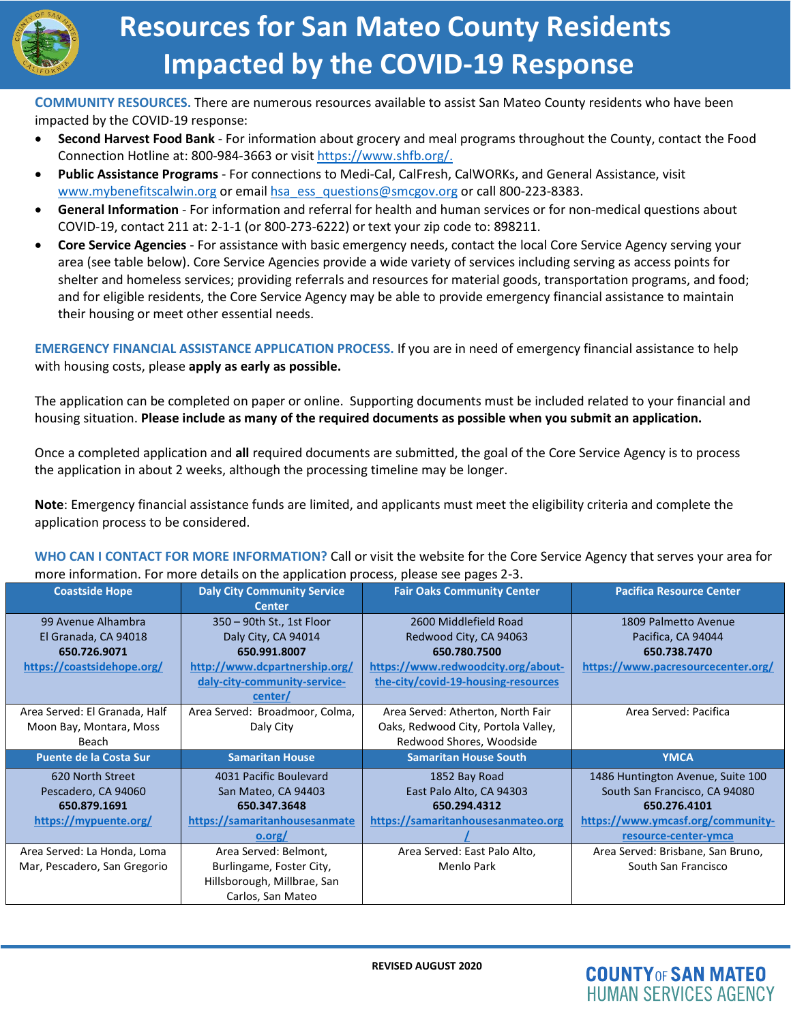

# **Resources for San Mateo County Residents Impacted by the COVID-19 Response**

**COMMUNITY RESOURCES.** There are numerous resources available to assist San Mateo County residents who have been impacted by the COVID-19 response:

- **Second Harvest Food Bank** For information about grocery and meal programs throughout the County, contact the Food Connection Hotline at: 800-984-3663 or visi[t https://www.shfb.org/.](https://www.shfb.org/)
- **Public Assistance Programs** For connections to Medi-Cal, CalFresh, CalWORKs, and General Assistance, visit [www.mybenefitscalwin.org](http://www.mybenefitscalwin.org/) or emai[l hsa\\_ess\\_questions@smcgov.org](mailto:HSA_ESS_QUESTIONS@SMCGOV.ORG) or call 800-223-8383.
- **General Information** For information and referral for health and human services or for non-medical questions about COVID-19, contact 211 at: 2-1-1 (or 800-273-6222) or text your zip code to: 898211.
- **Core Service Agencies** For assistance with basic emergency needs, contact the local Core Service Agency serving your area (see table below). Core Service Agencies provide a wide variety of services including serving as access points for shelter and homeless services; providing referrals and resources for material goods, transportation programs, and food; and for eligible residents, the Core Service Agency may be able to provide emergency financial assistance to maintain their housing or meet other essential needs.

**EMERGENCY FINANCIAL ASSISTANCE APPLICATION PROCESS.** If you are in need of emergency financial assistance to help with housing costs, please **apply as early as possible.** 

The application can be completed on paper or online. Supporting documents must be included related to your financial and housing situation. **Please include as many of the required documents as possible when you submit an application.**

Once a completed application and **all** required documents are submitted, the goal of the Core Service Agency is to process the application in about 2 weeks, although the processing timeline may be longer.

**Note**: Emergency financial assistance funds are limited, and applicants must meet the eligibility criteria and complete the application process to be considered.

**WHO CAN I CONTACT FOR MORE INFORMATION?** Call or visit the website for the Core Service Agency that serves your area for more information. For more details on the application process, please see pages 2-3.

| <b>Coastside Hope</b>         | <b>Daly City Community Service</b> | <b>Fair Oaks Community Center</b>   | <b>Pacifica Resource Center</b>    |
|-------------------------------|------------------------------------|-------------------------------------|------------------------------------|
|                               | <b>Center</b>                      |                                     |                                    |
| 99 Avenue Alhambra            | 350 - 90th St., 1st Floor          | 2600 Middlefield Road               | 1809 Palmetto Avenue               |
| El Granada, CA 94018          | Daly City, CA 94014                | Redwood City, CA 94063              | Pacifica, CA 94044                 |
| 650.726.9071                  | 650.991.8007                       | 650.780.7500                        | 650.738.7470                       |
| https://coastsidehope.org/    | http://www.dcpartnership.org/      | https://www.redwoodcity.org/about-  | https://www.pacresourcecenter.org/ |
|                               | daly-city-community-service-       | the-city/covid-19-housing-resources |                                    |
|                               | center/                            |                                     |                                    |
| Area Served: El Granada, Half | Area Served: Broadmoor, Colma,     | Area Served: Atherton, North Fair   | Area Served: Pacifica              |
| Moon Bay, Montara, Moss       | Daly City                          | Oaks, Redwood City, Portola Valley, |                                    |
| Beach                         |                                    | Redwood Shores, Woodside            |                                    |
|                               |                                    |                                     |                                    |
| <b>Puente de la Costa Sur</b> | <b>Samaritan House</b>             | <b>Samaritan House South</b>        | <b>YMCA</b>                        |
| 620 North Street              | 4031 Pacific Boulevard             | 1852 Bay Road                       | 1486 Huntington Avenue, Suite 100  |
| Pescadero, CA 94060           | San Mateo, CA 94403                | East Palo Alto, CA 94303            | South San Francisco, CA 94080      |
| 650.879.1691                  | 650.347.3648                       | 650.294.4312                        | 650.276.4101                       |
| https://mypuente.org/         | https://samaritanhousesanmate      | https://samaritanhousesanmateo.org  | https://www.ymcasf.org/community-  |
|                               | o.org/                             |                                     | resource-center-ymca               |
| Area Served: La Honda, Loma   | Area Served: Belmont,              | Area Served: East Palo Alto,        | Area Served: Brisbane, San Bruno,  |
| Mar, Pescadero, San Gregorio  | Burlingame, Foster City,           | Menlo Park                          | South San Francisco                |
|                               | Hillsborough, Millbrae, San        |                                     |                                    |

**COUNTY OF SAN MATEO HUMAN SERVICES AGENCY**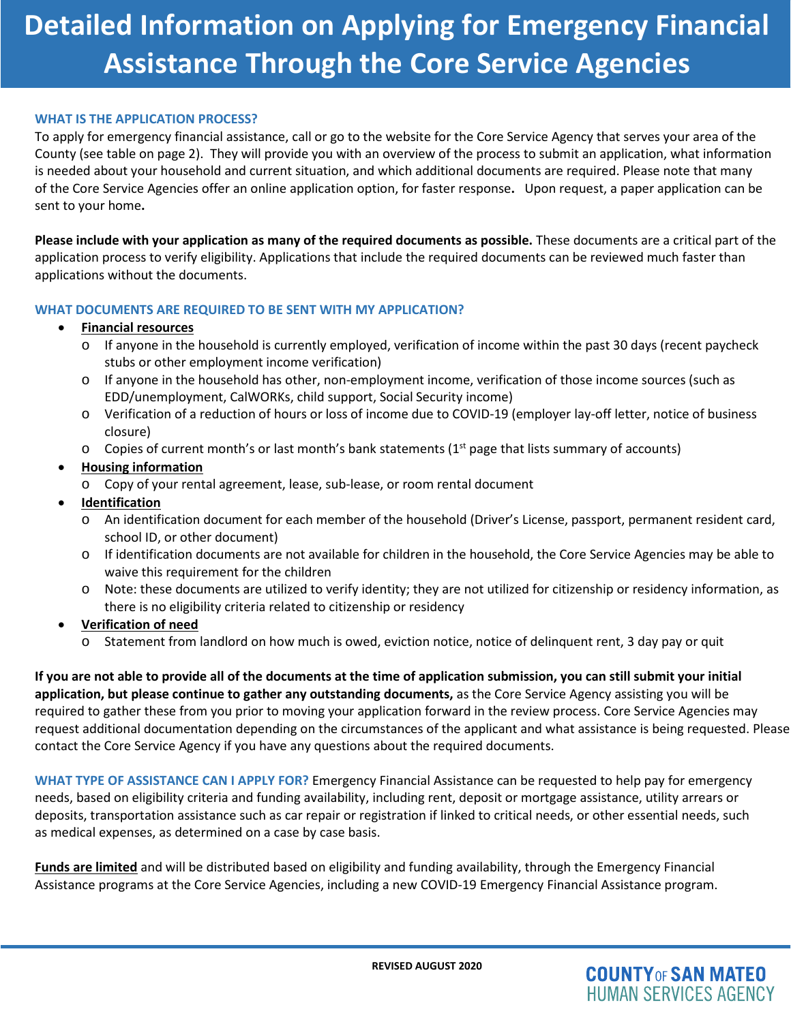# **Detailed Information on Applying for Emergency Financial Assistance Through the Core Service Agencies**

#### **WHAT IS THE APPLICATION PROCESS?**

To apply for emergency financial assistance, call or go to the website for the Core Service Agency that serves your area of the County (see table on page 2). They will provide you with an overview of the process to submit an application, what information is needed about your household and current situation, and which additional documents are required. Please note that many of the Core Service Agencies offer an online application option, for faster response**.** Upon request, a paper application can be sent to your home**.**

**Please include with your application as many of the required documents as possible.** These documents are a critical part of the application process to verify eligibility. Applications that include the required documents can be reviewed much faster than applications without the documents.

#### **WHAT DOCUMENTS ARE REQUIRED TO BE SENT WITH MY APPLICATION?**

#### • **Financial resources**

- o If anyone in the household is currently employed, verification of income within the past 30 days (recent paycheck stubs or other employment income verification)
- o If anyone in the household has other, non-employment income, verification of those income sources (such as EDD/unemployment, CalWORKs, child support, Social Security income)
- o Verification of a reduction of hours or loss of income due to COVID-19 (employer lay-off letter, notice of business closure)
- $\circ$  Copies of current month's or last month's bank statements (1<sup>st</sup> page that lists summary of accounts)
- **Housing information**
	- o Copy of your rental agreement, lease, sub-lease, or room rental document
- **Identification** 
	- o An identification document for each member of the household (Driver's License, passport, permanent resident card, school ID, or other document)
	- o If identification documents are not available for children in the household, the Core Service Agencies may be able to waive this requirement for the children
	- o Note: these documents are utilized to verify identity; they are not utilized for citizenship or residency information, as there is no eligibility criteria related to citizenship or residency
- **Verification of need**
	- o Statement from landlord on how much is owed, eviction notice, notice of delinquent rent, 3 day pay or quit

**If you are not able to provide all of the documents at the time of application submission, you can still submit your initial application, but please continue to gather any outstanding documents,** as the Core Service Agency assisting you will be required to gather these from you prior to moving your application forward in the review process. Core Service Agencies may request additional documentation depending on the circumstances of the applicant and what assistance is being requested. Please contact the Core Service Agency if you have any questions about the required documents.

**WHAT TYPE OF ASSISTANCE CAN I APPLY FOR?** Emergency Financial Assistance can be requested to help pay for emergency needs, based on eligibility criteria and funding availability, including rent, deposit or mortgage assistance, utility arrears or deposits, transportation assistance such as car repair or registration if linked to critical needs, or other essential needs, such as medical expenses, as determined on a case by case basis.

**Funds are limited** and will be distributed based on eligibility and funding availability, through the Emergency Financial Assistance programs at the Core Service Agencies, including a new COVID-19 Emergency Financial Assistance program.